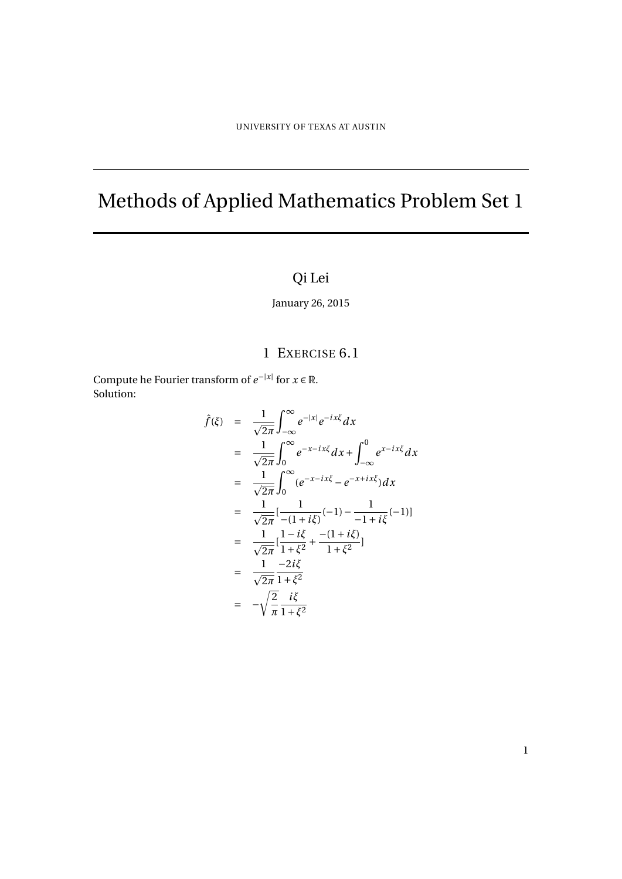# Methods of Applied Mathematics Problem Set 1

## Qi Lei

January 26, 2015

### 1 EXERCISE 6.1

Compute he Fourier transform of  $e^{-|x|}$  for  $x \in \mathbb{R}$ . Solution:

$$
\hat{f}(\xi) = \frac{1}{\sqrt{2\pi}} \int_{-\infty}^{\infty} e^{-|x|} e^{-ix\xi} dx
$$
\n
$$
= \frac{1}{\sqrt{2\pi}} \int_{0}^{\infty} e^{-x - ix\xi} dx + \int_{-\infty}^{0} e^{x - ix\xi} dx
$$
\n
$$
= \frac{1}{\sqrt{2\pi}} \int_{0}^{\infty} (e^{-x - ix\xi} - e^{-x + ix\xi}) dx
$$
\n
$$
= \frac{1}{\sqrt{2\pi}} [\frac{1}{-(1 + i\xi)}(-1) - \frac{1}{-1 + i\xi}(-1)]
$$
\n
$$
= \frac{1}{\sqrt{2\pi}} [\frac{1 - i\xi}{1 + \xi^2} + \frac{-(1 + i\xi)}{1 + \xi^2}]
$$
\n
$$
= \frac{1}{\sqrt{2\pi}} \frac{-2i\xi}{1 + \xi^2}
$$
\n
$$
= -\sqrt{\frac{2}{\pi}} \frac{i\xi}{1 + \xi^2}
$$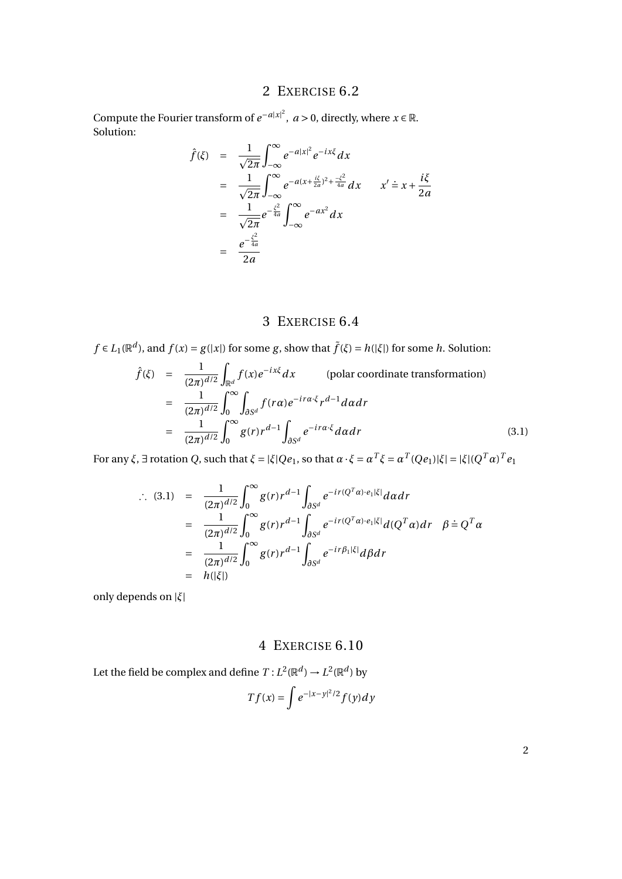### 2 EXERCISE 6.2

Compute the Fourier transform of  $e^{-a|x|^2}$ ,  $a > 0$ , directly, where  $x \in \mathbb{R}$ . Solution:

$$
\hat{f}(\xi) = \frac{1}{\sqrt{2\pi}} \int_{-\infty}^{\infty} e^{-a|x|^2} e^{-ix\xi} dx
$$
  
\n
$$
= \frac{1}{\sqrt{2\pi}} \int_{-\infty}^{\infty} e^{-a(x + \frac{i\xi}{2a})^2 + \frac{-\xi^2}{4a}} dx \qquad x' = x + \frac{i\xi}{2a}
$$
  
\n
$$
= \frac{1}{\sqrt{2\pi}} e^{-\frac{\xi^2}{4a}} \int_{-\infty}^{\infty} e^{-ax^2} dx
$$
  
\n
$$
= \frac{e^{-\frac{\xi^2}{4a}}}{2a}
$$

#### 3 EXERCISE 6.4

$$
f \in L_1(\mathbb{R}^d)
$$
, and  $f(x) = g(|x|)$  for some  $g$ , show that  $\tilde{f}(\xi) = h(|\xi|)$  for some  $h$ . Solution:

$$
\hat{f}(\xi) = \frac{1}{(2\pi)^{d/2}} \int_{\mathbb{R}^d} f(x) e^{-ix\xi} dx \qquad \text{(polar coordinate transformation)}
$$
\n
$$
= \frac{1}{(2\pi)^{d/2}} \int_0^\infty \int_{\partial S^d} f(r\alpha) e^{-ir\alpha \cdot \xi} r^{d-1} d\alpha dr
$$
\n
$$
= \frac{1}{(2\pi)^{d/2}} \int_0^\infty g(r) r^{d-1} \int_{\partial S^d} e^{-ir\alpha \cdot \xi} d\alpha dr \qquad (3.1)
$$

For any  $\xi$ ,  $\exists$  rotation Q, such that  $\xi = |\xi|Qe_1$ , so that  $\alpha \cdot \xi = \alpha^T \xi = \alpha^T(Qe_1)|\xi| = |\xi|(Q^T\alpha)^Te_1$ 

$$
\therefore (3.1) = \frac{1}{(2\pi)^{d/2}} \int_0^{\infty} g(r) r^{d-1} \int_{\partial S^d} e^{-ir(Q^T \alpha) \cdot e_1 |\xi|} d\alpha dr
$$
  
\n
$$
= \frac{1}{(2\pi)^{d/2}} \int_0^{\infty} g(r) r^{d-1} \int_{\partial S^d} e^{-ir(Q^T \alpha) \cdot e_1 |\xi|} d(Q^T \alpha) dr \quad \beta = Q^T \alpha
$$
  
\n
$$
= \frac{1}{(2\pi)^{d/2}} \int_0^{\infty} g(r) r^{d-1} \int_{\partial S^d} e^{-ir\beta_1 |\xi|} d\beta dr
$$
  
\n
$$
= h(|\xi|)
$$

only depends on |*ξ*|

#### 4 EXERCISE 6.10

Let the field be complex and define  $T: L^2(\mathbb{R}^d) \to L^2(\mathbb{R}^d)$  by  $Tf(x) = \int e^{-|x-y|^2/2} f(y) dy$ 

2